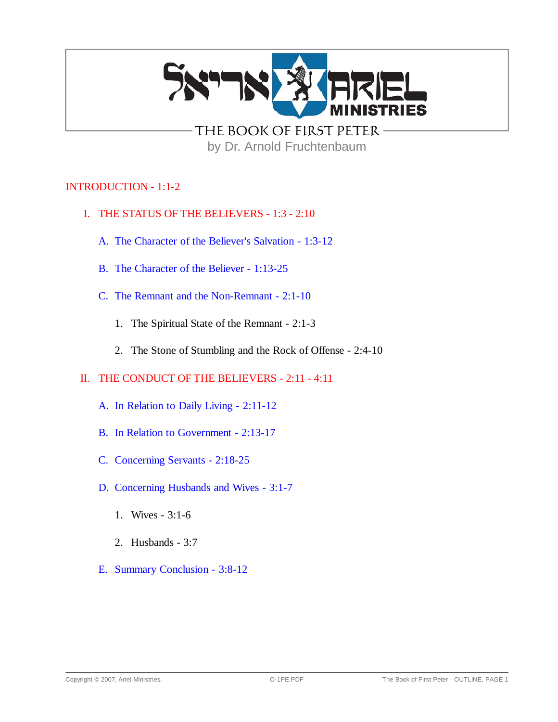

THE BOOK OF FIRST PETER by Dr. Arnold Fruchtenbaum

# INTRODUCTION - 1:1-2

- I. THE STATUS OF THE BELIEVERS 1:3 2:10
	- A. The Character of the Believer's Salvation 1:3-12
	- B. The Character of the Believer 1:13-25
	- C. The Remnant and the Non-Remnant 2:1-10
		- 1. The Spiritual State of the Remnant 2:1-3
		- 2. The Stone of Stumbling and the Rock of Offense 2:4-10

## II. THE CONDUCT OF THE BELIEVERS - 2:11 - 4:11

- A. In Relation to Daily Living 2:11-12
- B. In Relation to Government 2:13-17
- C. Concerning Servants 2:18-25
- D. Concerning Husbands and Wives 3:1-7
	- 1. Wives 3:1-6
	- 2. Husbands 3:7
- E. Summary Conclusion 3:8-12